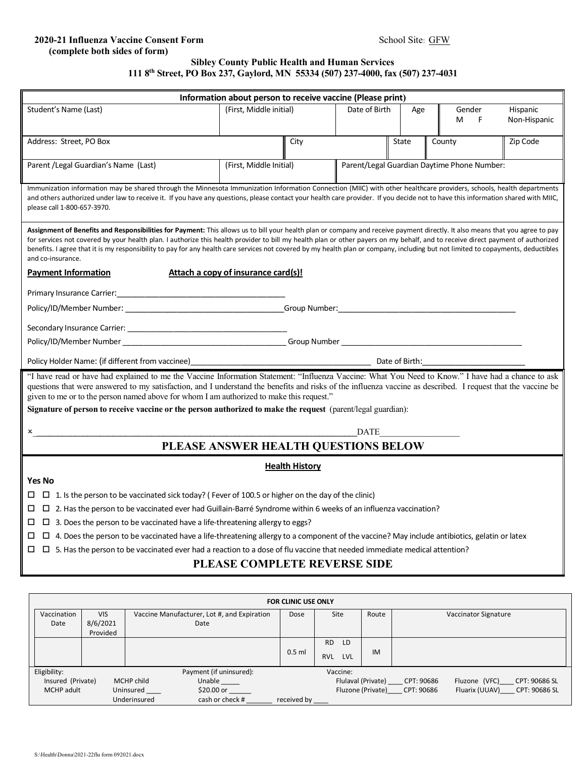## **2020-21 Influenza Vaccine Consent Form** School Site: GFW  **(complete both sides of form)**

## **Sibley County Public Health and Human Services 111 8th Street, PO Box 237, Gaylord, MN 55334 (507) 237-4000, fax (507) 237-4031**

|                                                                                                                                                                                   | Information about person to receive vaccine (Please print)<br>(First, Middle initial) |      | Date of Birth                               |       | Gender |   |                          |  |  |
|-----------------------------------------------------------------------------------------------------------------------------------------------------------------------------------|---------------------------------------------------------------------------------------|------|---------------------------------------------|-------|--------|---|--------------------------|--|--|
| Student's Name (Last)                                                                                                                                                             |                                                                                       |      |                                             | Age   | М      | F | Hispanic<br>Non-Hispanic |  |  |
|                                                                                                                                                                                   |                                                                                       |      |                                             |       |        |   |                          |  |  |
| Address: Street, PO Box                                                                                                                                                           |                                                                                       | City |                                             | State | County |   | Zip Code                 |  |  |
|                                                                                                                                                                                   |                                                                                       |      |                                             |       |        |   |                          |  |  |
| Parent /Legal Guardian's Name (Last)                                                                                                                                              | (First, Middle Initial)                                                               |      | Parent/Legal Guardian Daytime Phone Number: |       |        |   |                          |  |  |
|                                                                                                                                                                                   |                                                                                       |      |                                             |       |        |   |                          |  |  |
| Immunization information may be shared through the Minnesota Immunization Information Connection (MIIC) with other healthcare providers, schools, health departments              |                                                                                       |      |                                             |       |        |   |                          |  |  |
| and others authorized under law to receive it. If you have any questions, please contact your health care provider. If you decide not to have this information shared with MIIC,  |                                                                                       |      |                                             |       |        |   |                          |  |  |
| please call 1-800-657-3970.                                                                                                                                                       |                                                                                       |      |                                             |       |        |   |                          |  |  |
| Assignment of Benefits and Responsibilities for Payment: This allows us to bill your health plan or company and receive payment directly. It also means that you agree to pay     |                                                                                       |      |                                             |       |        |   |                          |  |  |
| for services not covered by your health plan. I authorize this health provider to bill my health plan or other payers on my behalf, and to receive direct payment of authorized   |                                                                                       |      |                                             |       |        |   |                          |  |  |
| benefits. I agree that it is my responsibility to pay for any health care services not covered by my health plan or company, including but not limited to copayments, deductibles |                                                                                       |      |                                             |       |        |   |                          |  |  |
| and co-insurance.                                                                                                                                                                 |                                                                                       |      |                                             |       |        |   |                          |  |  |
| <b>Payment Information</b>                                                                                                                                                        | Attach a copy of insurance card(s)!                                                   |      |                                             |       |        |   |                          |  |  |
|                                                                                                                                                                                   |                                                                                       |      |                                             |       |        |   |                          |  |  |
| Policy/ID/Member Number: _________________________________Group Number:____________________________                                                                               |                                                                                       |      |                                             |       |        |   |                          |  |  |
|                                                                                                                                                                                   |                                                                                       |      |                                             |       |        |   |                          |  |  |
|                                                                                                                                                                                   |                                                                                       |      |                                             |       |        |   |                          |  |  |
|                                                                                                                                                                                   |                                                                                       |      |                                             |       |        |   |                          |  |  |
|                                                                                                                                                                                   |                                                                                       |      |                                             |       |        |   |                          |  |  |
| "I have read or have had explained to me the Vaccine Information Statement: "Influenza Vaccine: What You Need to Know." I have had a chance to ask                                |                                                                                       |      |                                             |       |        |   |                          |  |  |
| questions that were answered to my satisfaction, and I understand the benefits and risks of the influenza vaccine as described. I request that the vaccine be                     |                                                                                       |      |                                             |       |        |   |                          |  |  |
| given to me or to the person named above for whom I am authorized to make this request."                                                                                          |                                                                                       |      |                                             |       |        |   |                          |  |  |
| Signature of person to receive vaccine or the person authorized to make the request (parent/legal guardian):                                                                      |                                                                                       |      |                                             |       |        |   |                          |  |  |
| <b>DATE</b>                                                                                                                                                                       |                                                                                       |      |                                             |       |        |   |                          |  |  |
|                                                                                                                                                                                   |                                                                                       |      |                                             |       |        |   |                          |  |  |
| PLEASE ANSWER HEALTH QUESTIONS BELOW                                                                                                                                              |                                                                                       |      |                                             |       |        |   |                          |  |  |
| <b>Health History</b>                                                                                                                                                             |                                                                                       |      |                                             |       |        |   |                          |  |  |
| <b>Yes No</b>                                                                                                                                                                     |                                                                                       |      |                                             |       |        |   |                          |  |  |
| □ 1. Is the person to be vaccinated sick today? (Fever of 100.5 or higher on the day of the clinic)<br>ப                                                                          |                                                                                       |      |                                             |       |        |   |                          |  |  |
| □ □ 2. Has the person to be vaccinated ever had Guillain-Barré Syndrome within 6 weeks of an influenza vaccination?                                                               |                                                                                       |      |                                             |       |        |   |                          |  |  |
| $\Box$ 3. Does the person to be vaccinated have a life-threatening allergy to eggs?<br>ப                                                                                          |                                                                                       |      |                                             |       |        |   |                          |  |  |
| $\Box$ 4. Does the person to be vaccinated have a life-threatening allergy to a component of the vaccine? May include antibiotics, gelatin or latex<br>ப                          |                                                                                       |      |                                             |       |        |   |                          |  |  |
| $\Box$ 5. Has the person to be vaccinated ever had a reaction to a dose of flu vaccine that needed immediate medical attention?<br>ப                                              |                                                                                       |      |                                             |       |        |   |                          |  |  |
| PLEASE COMPLETE REVERSE SIDE                                                                                                                                                      |                                                                                       |      |                                             |       |        |   |                          |  |  |
|                                                                                                                                                                                   |                                                                                       |      |                                             |       |        |   |                          |  |  |
|                                                                                                                                                                                   |                                                                                       |      |                                             |       |        |   |                          |  |  |

| <b>FOR CLINIC USE ONLY</b>                          |            |              |                                             |                                                                    |                          |            |                             |  |  |  |
|-----------------------------------------------------|------------|--------------|---------------------------------------------|--------------------------------------------------------------------|--------------------------|------------|-----------------------------|--|--|--|
| Vaccination                                         | <b>VIS</b> |              | Vaccine Manufacturer, Lot #, and Expiration | Dose                                                               | Site                     | Route      | Vaccinator Signature        |  |  |  |
| Date                                                | 8/6/2021   |              | Date                                        |                                                                    |                          |            |                             |  |  |  |
|                                                     | Provided   |              |                                             |                                                                    |                          |            |                             |  |  |  |
|                                                     |            |              |                                             |                                                                    | <b>RD</b><br>LD.         |            |                             |  |  |  |
|                                                     |            |              |                                             | $0.5$ ml                                                           | <b>LVL</b><br><b>RVL</b> | IM         |                             |  |  |  |
| Eligibility:<br>Payment (if uninsured):<br>Vaccine: |            |              |                                             |                                                                    |                          |            |                             |  |  |  |
| Insured (Private)<br>MCHP child                     |            | Unable       | Flulaval (Private)                          |                                                                    |                          | CPT: 90686 | Fluzone (VFC) CPT: 90686 SL |  |  |  |
| \$20.00 or<br>MCHP adult<br>Uninsured               |            |              |                                             | Fluzone (Private)<br>CPT: 90686 SL<br>CPT: 90686<br>Fluarix (UUAV) |                          |            |                             |  |  |  |
|                                                     |            | Underinsured | cash or check #                             | received by                                                        |                          |            |                             |  |  |  |